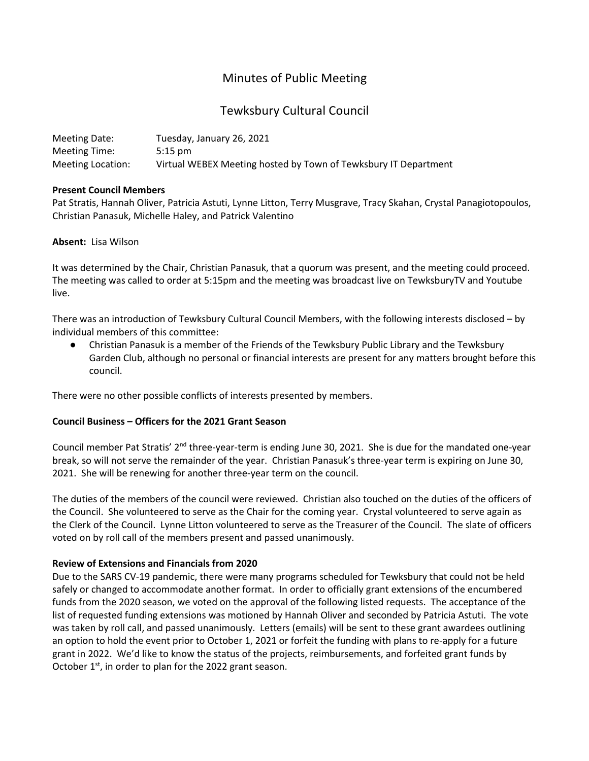# Minutes of Public Meeting

# Tewksbury Cultural Council

| Meeting Date:     | Tuesday, January 26, 2021                                       |
|-------------------|-----------------------------------------------------------------|
| Meeting Time:     | $5:15 \text{ pm}$                                               |
| Meeting Location: | Virtual WEBEX Meeting hosted by Town of Tewksbury IT Department |

## **Present Council Members**

Pat Stratis, Hannah Oliver, Patricia Astuti, Lynne Litton, Terry Musgrave, Tracy Skahan, Crystal Panagiotopoulos, Christian Panasuk, Michelle Haley, and Patrick Valentino

## **Absent:** Lisa Wilson

It was determined by the Chair, Christian Panasuk, that a quorum was present, and the meeting could proceed. The meeting was called to order at 5:15pm and the meeting was broadcast live on TewksburyTV and Youtube live.

There was an introduction of Tewksbury Cultural Council Members, with the following interests disclosed – by individual members of this committee:

● Christian Panasuk is a member of the Friends of the Tewksbury Public Library and the Tewksbury Garden Club, although no personal or financial interests are present for any matters brought before this council.

There were no other possible conflicts of interests presented by members.

## **Council Business – Officers for the 2021 Grant Season**

Council member Pat Stratis' 2<sup>nd</sup> three-year-term is ending June 30, 2021. She is due for the mandated one-year break, so will not serve the remainder of the year. Christian Panasuk's three-year term is expiring on June 30, 2021. She will be renewing for another three-year term on the council.

The duties of the members of the council were reviewed. Christian also touched on the duties of the officers of the Council. She volunteered to serve as the Chair for the coming year. Crystal volunteered to serve again as the Clerk of the Council. Lynne Litton volunteered to serve as the Treasurer of the Council. The slate of officers voted on by roll call of the members present and passed unanimously.

# **Review of Extensions and Financials from 2020**

Due to the SARS CV-19 pandemic, there were many programs scheduled for Tewksbury that could not be held safely or changed to accommodate another format. In order to officially grant extensions of the encumbered funds from the 2020 season, we voted on the approval of the following listed requests. The acceptance of the list of requested funding extensions was motioned by Hannah Oliver and seconded by Patricia Astuti. The vote was taken by roll call, and passed unanimously. Letters (emails) will be sent to these grant awardees outlining an option to hold the event prior to October 1, 2021 or forfeit the funding with plans to re-apply for a future grant in 2022. We'd like to know the status of the projects, reimbursements, and forfeited grant funds by October  $1<sup>st</sup>$ , in order to plan for the 2022 grant season.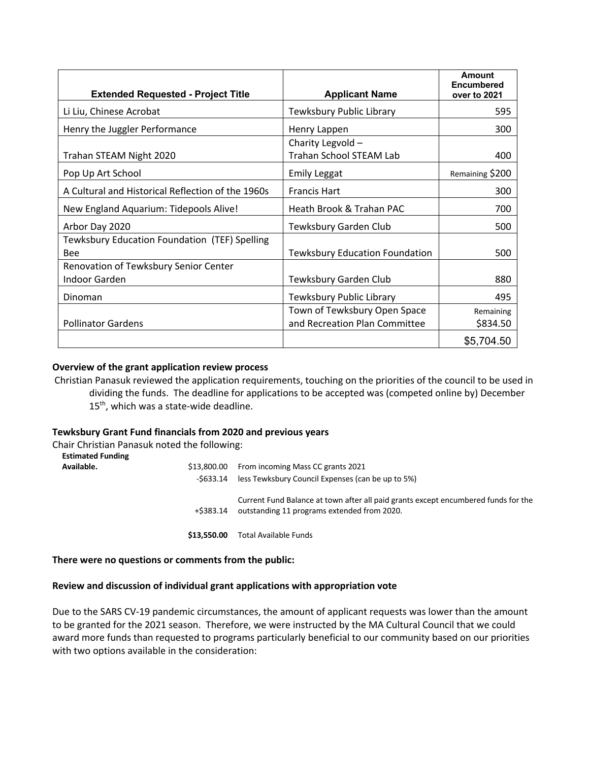| <b>Extended Requested - Project Title</b>              | <b>Applicant Name</b>                                         | Amount<br><b>Encumbered</b><br>over to 2021 |
|--------------------------------------------------------|---------------------------------------------------------------|---------------------------------------------|
| Li Liu, Chinese Acrobat                                | Tewksbury Public Library                                      | 595                                         |
| Henry the Juggler Performance                          | Henry Lappen                                                  | 300                                         |
| Trahan STEAM Night 2020                                | Charity Legvold -<br><b>Trahan School STEAM Lab</b>           | 400                                         |
| Pop Up Art School                                      | <b>Emily Leggat</b>                                           | Remaining \$200                             |
| A Cultural and Historical Reflection of the 1960s      | <b>Francis Hart</b>                                           | 300                                         |
| New England Aquarium: Tidepools Alive!                 | Heath Brook & Trahan PAC                                      | 700                                         |
| Arbor Day 2020                                         | Tewksbury Garden Club                                         | 500                                         |
| Tewksbury Education Foundation (TEF) Spelling<br>Bee   | <b>Tewksbury Education Foundation</b>                         | 500                                         |
| Renovation of Tewksbury Senior Center<br>Indoor Garden | Tewksbury Garden Club                                         | 880                                         |
| Dinoman                                                | Tewksbury Public Library                                      | 495                                         |
| <b>Pollinator Gardens</b>                              | Town of Tewksbury Open Space<br>and Recreation Plan Committee | Remaining<br>\$834.50                       |
|                                                        |                                                               | \$5,704.50                                  |

### **Overview of the grant application review process**

Christian Panasuk reviewed the application requirements, touching on the priorities of the council to be used in dividing the funds. The deadline for applications to be accepted was (competed online by) December 15<sup>th</sup>, which was a state-wide deadline.

### **Tewksbury Grant Fund financials from 2020 and previous years**

Chair Christian Panasuk noted the following: **Estimated Funding** 

| <b>Estimated Funding</b><br>Available. | \$13,800.00<br>-S633.14 | From incoming Mass CC grants 2021<br>less Tewksbury Council Expenses (can be up to 5%)                                            |
|----------------------------------------|-------------------------|-----------------------------------------------------------------------------------------------------------------------------------|
|                                        | +\$383.14               | Current Fund Balance at town after all paid grants except encumbered funds for the<br>outstanding 11 programs extended from 2020. |
|                                        | \$13,550.00             | Total Available Funds                                                                                                             |

### **There were no questions or comments from the public:**

### **Review and discussion of individual grant applications with appropriation vote**

Due to the SARS CV-19 pandemic circumstances, the amount of applicant requests was lower than the amount to be granted for the 2021 season. Therefore, we were instructed by the MA Cultural Council that we could award more funds than requested to programs particularly beneficial to our community based on our priorities with two options available in the consideration: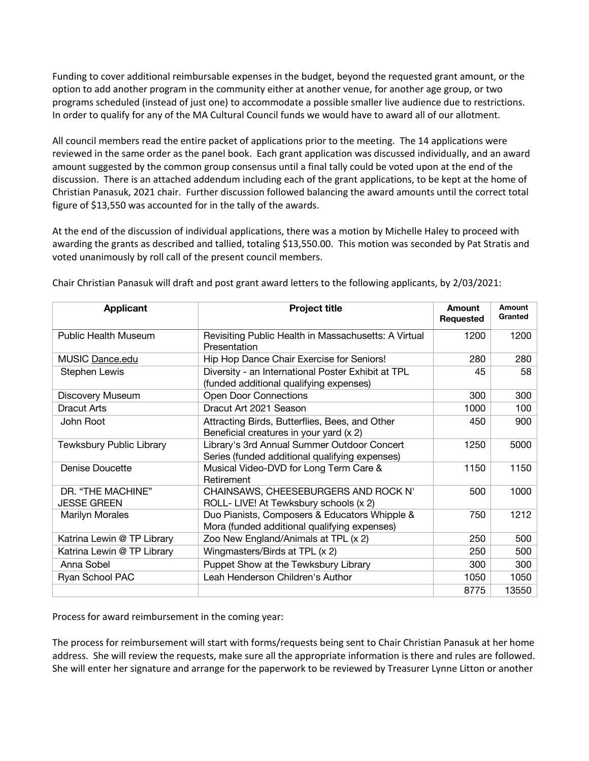Funding to cover additional reimbursable expenses in the budget, beyond the requested grant amount, or the option to add another program in the community either at another venue, for another age group, or two programs scheduled (instead of just one) to accommodate a possible smaller live audience due to restrictions. In order to qualify for any of the MA Cultural Council funds we would have to award all of our allotment.

All council members read the entire packet of applications prior to the meeting. The 14 applications were reviewed in the same order as the panel book. Each grant application was discussed individually, and an award amount suggested by the common group consensus until a final tally could be voted upon at the end of the discussion. There is an attached addendum including each of the grant applications, to be kept at the home of Christian Panasuk, 2021 chair. Further discussion followed balancing the award amounts until the correct total figure of \$13,550 was accounted for in the tally of the awards.

At the end of the discussion of individual applications, there was a motion by Michelle Haley to proceed with awarding the grants as described and tallied, totaling \$13,550.00. This motion was seconded by Pat Stratis and voted unanimously by roll call of the present council members.

| <b>Applicant</b>                        | <b>Project title</b>                                                                          | Amount<br>Requested | Amount<br>Granted |
|-----------------------------------------|-----------------------------------------------------------------------------------------------|---------------------|-------------------|
| <b>Public Health Museum</b>             | Revisiting Public Health in Massachusetts: A Virtual<br>Presentation                          | 1200                | 1200              |
| MUSIC Dance.edu                         | Hip Hop Dance Chair Exercise for Seniors!                                                     | 280                 | 280               |
| <b>Stephen Lewis</b>                    | Diversity - an International Poster Exhibit at TPL<br>(funded additional qualifying expenses) | 45                  | 58                |
| Discovery Museum                        | <b>Open Door Connections</b>                                                                  | 300                 | 300               |
| <b>Dracut Arts</b>                      | Dracut Art 2021 Season                                                                        | 1000                | 100               |
| John Root                               | Attracting Birds, Butterflies, Bees, and Other<br>Beneficial creatures in your yard (x 2)     | 450                 | 900               |
| Tewksbury Public Library                | Library's 3rd Annual Summer Outdoor Concert<br>Series (funded additional qualifying expenses) | 1250                | 5000              |
| <b>Denise Doucette</b>                  | Musical Video-DVD for Long Term Care &<br>Retirement                                          | 1150                | 1150              |
| DR. "THE MACHINE"<br><b>JESSE GREEN</b> | CHAINSAWS, CHEESEBURGERS AND ROCK N'<br>ROLL- LIVE! At Tewksbury schools (x 2)                | 500                 | 1000              |
| <b>Marilyn Morales</b>                  | Duo Pianists, Composers & Educators Whipple &<br>Mora (funded additional qualifying expenses) | 750                 | 1212              |
| Katrina Lewin @ TP Library              | Zoo New England/Animals at TPL (x 2)                                                          | 250                 | 500               |
| Katrina Lewin @ TP Library              | Wingmasters/Birds at TPL (x 2)                                                                | 250                 | 500               |
| Anna Sobel                              | Puppet Show at the Tewksbury Library                                                          | 300                 | 300               |
| Ryan School PAC                         | Leah Henderson Children's Author                                                              | 1050                | 1050              |
|                                         |                                                                                               | 8775                | 13550             |

Chair Christian Panasuk will draft and post grant award letters to the following applicants, by 2/03/2021:

Process for award reimbursement in the coming year:

The process for reimbursement will start with forms/requests being sent to Chair Christian Panasuk at her home address. She will review the requests, make sure all the appropriate information is there and rules are followed. She will enter her signature and arrange for the paperwork to be reviewed by Treasurer Lynne Litton or another